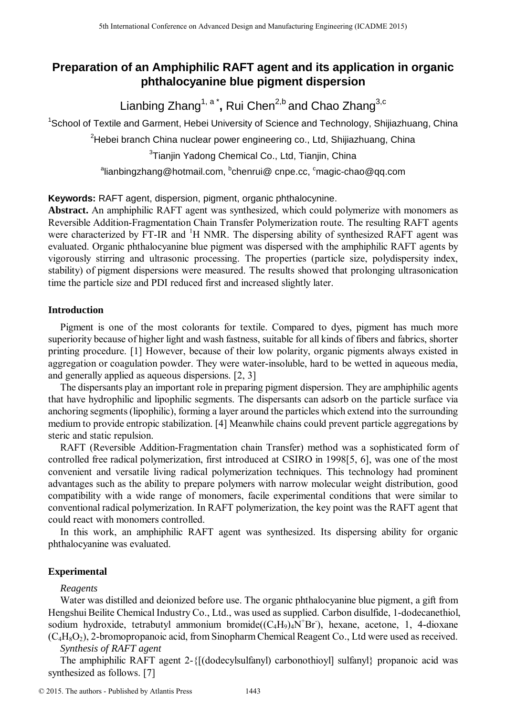# **Preparation of an Amphiphilic RAFT agent and its application in organic phthalocyanine blue pigment dispersion**

Lianbing Zhang<sup>1, a\*</sup>, Rui Chen<sup>2,b</sup> and Chao Zhang<sup>3,c</sup>

<sup>1</sup>School of Textile and Garment, Hebei University of Science and Technology, Shijiazhuang, China

<sup>2</sup>Hebei branch China nuclear power engineering co., Ltd, Shijiazhuang, China

 ${}^{3}$ Tianjin Yadong Chemical Co., Ltd, Tianjin, China

<sup>a</sup>lianbingzhang@hotmail.com, <sup>b</sup>chenrui@ cnpe.cc, <sup>c</sup>magic-chao@qq.com

**Keywords:** RAFT agent, dispersion, pigment, organic phthalocynine.

**Abstract.** An amphiphilic RAFT agent was synthesized, which could polymerize with monomers as Reversible Addition-Fragmentation Chain Transfer Polymerization route. The resulting RAFT agents were characterized by FT-IR and  ${}^{1}H$  NMR. The dispersing ability of synthesized RAFT agent was evaluated. Organic phthalocyanine blue pigment was dispersed with the amphiphilic RAFT agents by vigorously stirring and ultrasonic processing. The properties (particle size, polydispersity index, stability) of pigment dispersions were measured. The results showed that prolonging ultrasonication time the particle size and PDI reduced first and increased slightly later.

# **Introduction**

Pigment is one of the most colorants for textile. Compared to dyes, pigment has much more superiority because of higher light and wash fastness, suitable for all kinds of fibers and fabrics, shorter printing procedure. [1] However, because of their low polarity, organic pigments always existed in aggregation or coagulation powder. They were water-insoluble, hard to be wetted in aqueous media, and generally applied as aqueous dispersions. [2, 3]

The dispersants play an important role in preparing pigment dispersion. They are amphiphilic agents that have hydrophilic and lipophilic segments. The dispersants can adsorb on the particle surface via anchoring segments(lipophilic), forming a layer around the particles which extend into the surrounding medium to provide entropic stabilization. [4] Meanwhile chains could prevent particle aggregations by steric and static repulsion.

RAFT (Reversible Addition-Fragmentation chain Transfer) method was a sophisticated form of controlled free radical polymerization, first introduced at CSIRO in 1998[5, 6], was one of the most convenient and versatile living radical polymerization techniques. This technology had prominent advantages such as the ability to prepare polymers with narrow molecular weight distribution, good compatibility with a wide range of monomers, facile experimental conditions that were similar to conventional radical polymerization. In RAFT polymerization, the key point was the RAFT agent that could react with monomers controlled. <sup>516</sup> the thermatic Conference on Advanced Design and Manufacturing Engenering Conference on Division Conference on Advanced Design and Conference on Advanced Design and Conference on Advanced Conference on Advanced Desig

In this work, an amphiphilic RAFT agent was synthesized. Its dispersing ability for organic phthalocyanine was evaluated.

# **Experimental**

# *Reagents*

Water was distilled and deionized before use. The organic phthalocyanine blue pigment, a gift from Hengshui Beilite Chemical Industry Co., Ltd., was used as supplied. Carbon disulfide, 1-dodecanethiol, sodium hydroxide, tetrabutyl ammonium bromide $((C_4H_9)_4N^+Br)$ , hexane, acetone, 1, 4-dioxane  $(C_4H_8O_2)$ , 2-bromopropanoic acid, from Sinopharm Chemical Reagent Co., Ltd were used as received.

*Synthesis of RAFT agent* 

The amphiphilic RAFT agent 2-{[(dodecylsulfanyl) carbonothioyl] sulfanyl} propanoic acid was synthesized as follows. [7]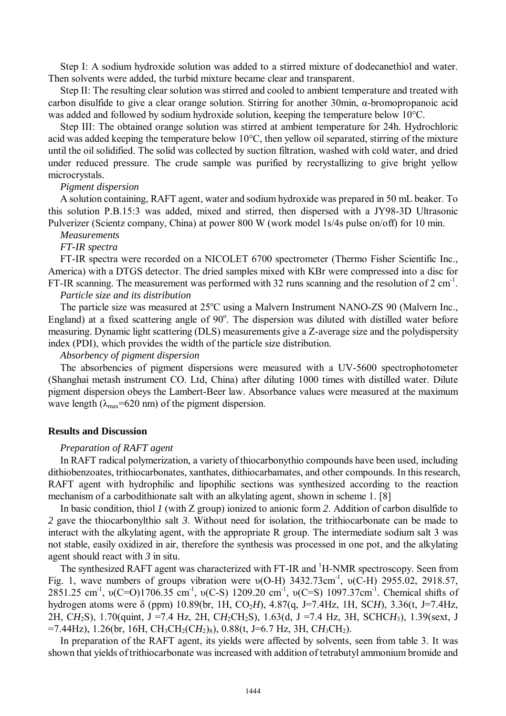Step I: A sodium hydroxide solution was added to a stirred mixture of dodecanethiol and water. Then solvents were added, the turbid mixture became clear and transparent.

Step II: The resulting clear solution was stirred and cooled to ambient temperature and treated with carbon disulfide to give a clear orange solution. Stirring for another 30min, α-bromopropanoic acid was added and followed by sodium hydroxide solution, keeping the temperature below 10°C.

Step III: The obtained orange solution was stirred at ambient temperature for 24h. Hydrochloric acid was added keeping the temperature below 10°C, then yellow oil separated, stirring of the mixture until the oil solidified. The solid was collected by suction filtration, washed with cold water, and dried under reduced pressure. The crude sample was purified by recrystallizing to give bright yellow microcrystals.

#### *Pigment dispersion*

A solution containing, RAFT agent, water and sodium hydroxide was prepared in 50 mL beaker. To this solution P.B.15:3 was added, mixed and stirred, then dispersed with a JY98-3D Ultrasonic Pulverizer (Scientz company, China) at power 800 W (work model 1s/4s pulse on/off) for 10 min.

### *Measurements*

#### *FT-IR spectra*

FT-IR spectra were recorded on a NICOLET 6700 spectrometer (Thermo Fisher Scientific Inc., America) with a DTGS detector. The dried samples mixed with KBr were compressed into a disc for FT-IR scanning. The measurement was performed with 32 runs scanning and the resolution of  $2 \text{ cm}^{-1}$ . *Particle size and its distribution* 

The particle size was measured at  $25^{\circ}$ C using a Malvern Instrument NANO-ZS 90 (Malvern Inc., England) at a fixed scattering angle of 90°. The dispersion was diluted with distilled water before measuring. Dynamic light scattering (DLS) measurements give a Z-average size and the polydispersity index (PDI), which provides the width of the particle size distribution.

#### *Absorbency of pigment dispersion*

The absorbencies of pigment dispersions were measured with a UV-5600 spectrophotometer (Shanghai metash instrument CO. Ltd, China) after diluting 1000 times with distilled water. Dilute pigment dispersion obeys the Lambert-Beer law. Absorbance values were measured at the maximum wave length ( $\lambda_{\text{max}}$ =620 nm) of the pigment dispersion.

#### **Results and Discussion**

#### *Preparation of RAFT agent*

In RAFT radical polymerization, a variety of thiocarbonythio compounds have been used, including dithiobenzoates, trithiocarbonates, xanthates, dithiocarbamates, and other compounds. In this research, RAFT agent with hydrophilic and lipophilic sections was synthesized according to the reaction mechanism of a carbodithionate salt with an alkylating agent, shown in scheme 1. [8]

In basic condition, thiol *1* (with Z group) ionized to anionic form *2*. Addition of carbon disulfide to *2* gave the thiocarbonylthio salt *3*. Without need for isolation, the trithiocarbonate can be made to interact with the alkylating agent, with the appropriate R group. The intermediate sodium salt 3 was not stable, easily oxidized in air, therefore the synthesis was processed in one pot, and the alkylating agent should react with *3* in situ.

The synthesized RAFT agent was characterized with FT-IR and <sup>1</sup>H-NMR spectroscopy. Seen from Fig. 1, wave numbers of groups vibration were  $v(O-H)$  3432.73cm<sup>-1</sup>,  $v(C-H)$  2955.02, 2918.57, 2851.25 cm<sup>-1</sup>, v(C=O)1706.35 cm<sup>-1</sup>, v(C-S) 1209.20 cm<sup>-1</sup>, v(C=S) 1097.37cm<sup>-1</sup>. Chemical shifts of hydrogen atoms were δ (ppm) 10.89(br, 1H, CO2*H*), 4.87(q, J=7.4Hz, 1H, SC*H*), 3.36(t, J=7.4Hz, 2H, C*H*2S), 1.70(quint, J =7.4 Hz, 2H, C*H*2CH2S), 1.63(d, J =7.4 Hz, 3H, SCHC*H*3), 1.39(sext, J  $=7.44$ Hz), 1.26(br, 16H, CH<sub>3</sub>CH<sub>2</sub>(CH<sub>2</sub>)<sub>8</sub>), 0.88(t, J=6.7 Hz, 3H, CH<sub>3</sub>CH<sub>2</sub>).

In preparation of the RAFT agent, its yields were affected by solvents, seen from table 3. It was shown that yields of trithiocarbonate was increased with addition of tetrabutyl ammonium bromide and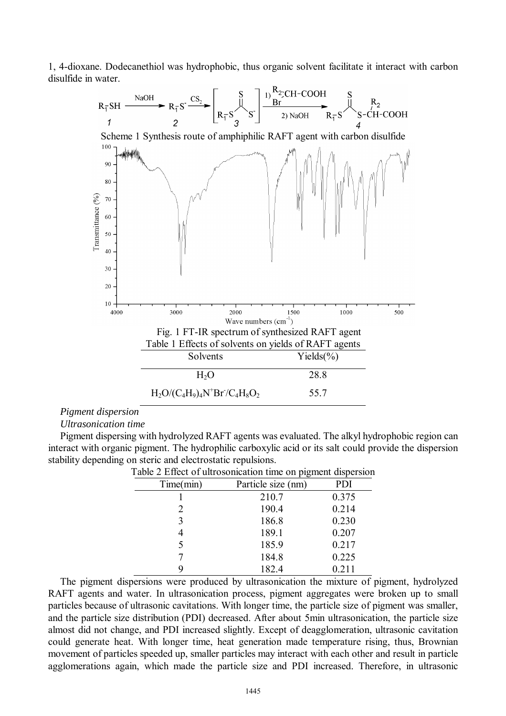1, 4-dioxane. Dodecanethiol was hydrophobic, thus organic solvent facilitate it interact with carbon



#### *Pigment dispersion*

#### *Ultrasonication time*

Pigment dispersing with hydrolyzed RAFT agents was evaluated. The alkyl hydrophobic region can interact with organic pigment. The hydrophilic carboxylic acid or its salt could provide the dispersion stability depending on steric and electrostatic repulsions.

| avie $\angle$ Effect of unfosofination three on pigniem dispersion |                    |       |  |  |  |
|--------------------------------------------------------------------|--------------------|-------|--|--|--|
| Time(min)                                                          | Particle size (nm) | PDI   |  |  |  |
|                                                                    | 210.7              | 0.375 |  |  |  |
| 2                                                                  | 190.4              | 0.214 |  |  |  |
| 3                                                                  | 186.8              | 0.230 |  |  |  |
|                                                                    | 189.1              | 0.207 |  |  |  |
| 5                                                                  | 185.9              | 0.217 |  |  |  |
|                                                                    | 184.8              | 0.225 |  |  |  |
|                                                                    | 182.4              | 0.211 |  |  |  |

|  | Table 2 Effect of ultrosonication time on pigment dispersion |  |  |  |  |  |
|--|--------------------------------------------------------------|--|--|--|--|--|
|--|--------------------------------------------------------------|--|--|--|--|--|

The pigment dispersions were produced by ultrasonication the mixture of pigment, hydrolyzed RAFT agents and water. In ultrasonication process, pigment aggregates were broken up to small particles because of ultrasonic cavitations. With longer time, the particle size of pigment was smaller, and the particle size distribution (PDI) decreased. After about 5min ultrasonication, the particle size almost did not change, and PDI increased slightly. Except of deagglomeration, ultrasonic cavitation could generate heat. With longer time, heat generation made temperature rising, thus, Brownian movement of particles speeded up, smaller particles may interact with each other and result in particle agglomerations again, which made the particle size and PDI increased. Therefore, in ultrasonic